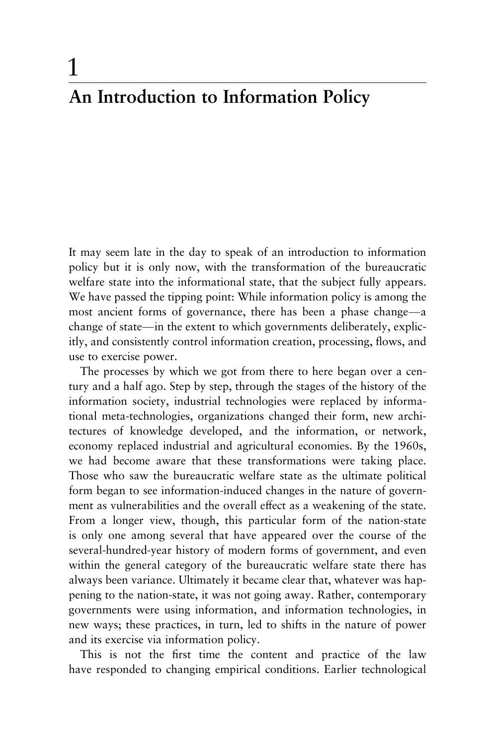## An Introduction to Information Policy

1

It may seem late in the day to speak of an introduction to information policy but it is only now, with the transformation of the bureaucratic welfare state into the informational state, that the subject fully appears. We have passed the tipping point: While information policy is among the most ancient forms of governance, there has been a phase change—a change of state—in the extent to which governments deliberately, explicitly, and consistently control information creation, processing, flows, and use to exercise power.

The processes by which we got from there to here began over a century and a half ago. Step by step, through the stages of the history of the information society, industrial technologies were replaced by informational meta-technologies, organizations changed their form, new architectures of knowledge developed, and the information, or network, economy replaced industrial and agricultural economies. By the 1960s, we had become aware that these transformations were taking place. Those who saw the bureaucratic welfare state as the ultimate political form began to see information-induced changes in the nature of government as vulnerabilities and the overall effect as a weakening of the state. From a longer view, though, this particular form of the nation-state is only one among several that have appeared over the course of the several-hundred-year history of modern forms of government, and even within the general category of the bureaucratic welfare state there has always been variance. Ultimately it became clear that, whatever was happening to the nation-state, it was not going away. Rather, contemporary governments were using information, and information technologies, in new ways; these practices, in turn, led to shifts in the nature of power and its exercise via information policy.

This is not the first time the content and practice of the law have responded to changing empirical conditions. Earlier technological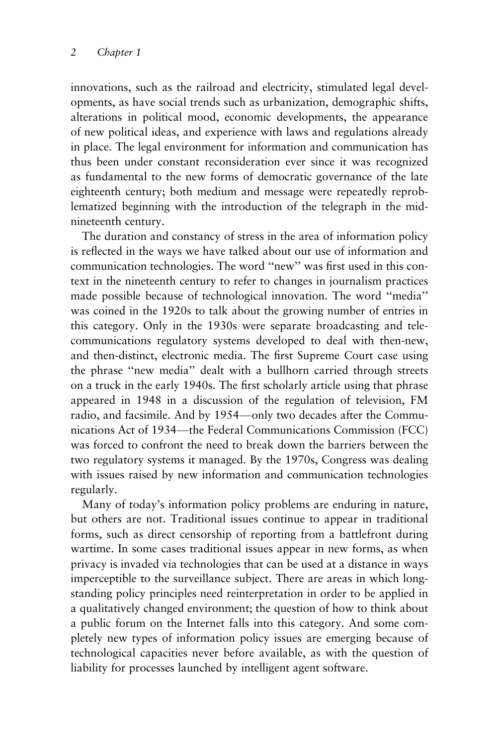innovations, such as the railroad and electricity, stimulated legal developments, as have social trends such as urbanization, demographic shifts, alterations in political mood, economic developments, the appearance of new political ideas, and experience with laws and regulations already in place. The legal environment for information and communication has thus been under constant reconsideration ever since it was recognized as fundamental to the new forms of democratic governance of the late eighteenth century; both medium and message were repeatedly reproblematized beginning with the introduction of the telegraph in the midnineteenth century.

The duration and constancy of stress in the area of information policy is reflected in the ways we have talked about our use of information and communication technologies. The word ''new'' was first used in this context in the nineteenth century to refer to changes in journalism practices made possible because of technological innovation. The word ''media'' was coined in the 1920s to talk about the growing number of entries in this category. Only in the 1930s were separate broadcasting and telecommunications regulatory systems developed to deal with then-new, and then-distinct, electronic media. The first Supreme Court case using the phrase ''new media'' dealt with a bullhorn carried through streets on a truck in the early 1940s. The first scholarly article using that phrase appeared in 1948 in a discussion of the regulation of television, FM radio, and facsimile. And by 1954—only two decades after the Communications Act of 1934—the Federal Communications Commission (FCC) was forced to confront the need to break down the barriers between the two regulatory systems it managed. By the 1970s, Congress was dealing with issues raised by new information and communication technologies regularly.

Many of today's information policy problems are enduring in nature, but others are not. Traditional issues continue to appear in traditional forms, such as direct censorship of reporting from a battlefront during wartime. In some cases traditional issues appear in new forms, as when privacy is invaded via technologies that can be used at a distance in ways imperceptible to the surveillance subject. There are areas in which longstanding policy principles need reinterpretation in order to be applied in a qualitatively changed environment; the question of how to think about a public forum on the Internet falls into this category. And some completely new types of information policy issues are emerging because of technological capacities never before available, as with the question of liability for processes launched by intelligent agent software.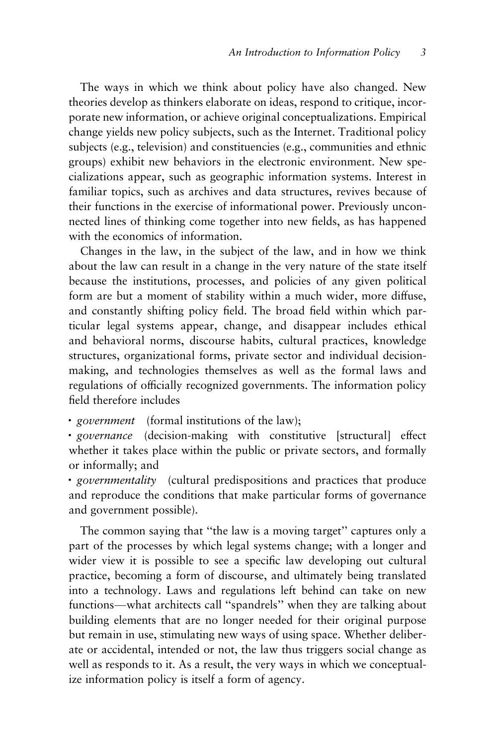The ways in which we think about policy have also changed. New theories develop as thinkers elaborate on ideas, respond to critique, incorporate new information, or achieve original conceptualizations. Empirical change yields new policy subjects, such as the Internet. Traditional policy subjects (e.g., television) and constituencies (e.g., communities and ethnic groups) exhibit new behaviors in the electronic environment. New specializations appear, such as geographic information systems. Interest in familiar topics, such as archives and data structures, revives because of their functions in the exercise of informational power. Previously unconnected lines of thinking come together into new fields, as has happened with the economics of information.

Changes in the law, in the subject of the law, and in how we think about the law can result in a change in the very nature of the state itself because the institutions, processes, and policies of any given political form are but a moment of stability within a much wider, more diffuse, and constantly shifting policy field. The broad field within which particular legal systems appear, change, and disappear includes ethical and behavioral norms, discourse habits, cultural practices, knowledge structures, organizational forms, private sector and individual decisionmaking, and technologies themselves as well as the formal laws and regulations of officially recognized governments. The information policy field therefore includes

• government (formal institutions of the law);

• governance (decision-making with constitutive [structural] effect whether it takes place within the public or private sectors, and formally or informally; and

• governmentality (cultural predispositions and practices that produce and reproduce the conditions that make particular forms of governance and government possible).

The common saying that ''the law is a moving target'' captures only a part of the processes by which legal systems change; with a longer and wider view it is possible to see a specific law developing out cultural practice, becoming a form of discourse, and ultimately being translated into a technology. Laws and regulations left behind can take on new functions—what architects call ''spandrels'' when they are talking about building elements that are no longer needed for their original purpose but remain in use, stimulating new ways of using space. Whether deliberate or accidental, intended or not, the law thus triggers social change as well as responds to it. As a result, the very ways in which we conceptualize information policy is itself a form of agency.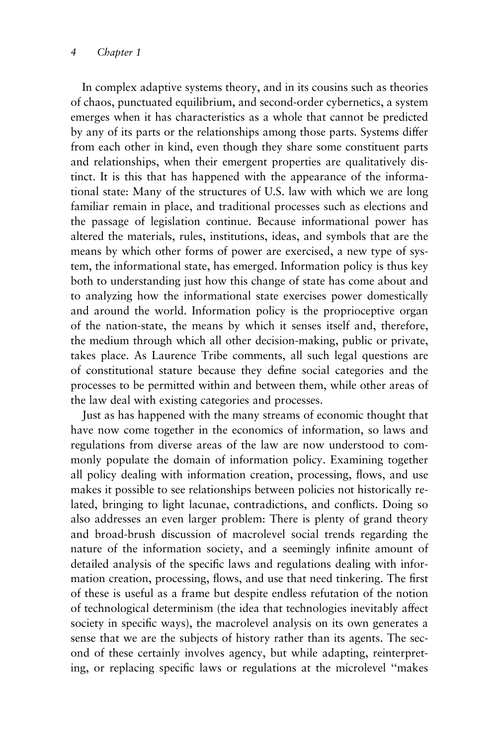In complex adaptive systems theory, and in its cousins such as theories of chaos, punctuated equilibrium, and second-order cybernetics, a system emerges when it has characteristics as a whole that cannot be predicted by any of its parts or the relationships among those parts. Systems differ from each other in kind, even though they share some constituent parts and relationships, when their emergent properties are qualitatively distinct. It is this that has happened with the appearance of the informational state: Many of the structures of U.S. law with which we are long familiar remain in place, and traditional processes such as elections and the passage of legislation continue. Because informational power has altered the materials, rules, institutions, ideas, and symbols that are the means by which other forms of power are exercised, a new type of system, the informational state, has emerged. Information policy is thus key both to understanding just how this change of state has come about and to analyzing how the informational state exercises power domestically and around the world. Information policy is the proprioceptive organ of the nation-state, the means by which it senses itself and, therefore, the medium through which all other decision-making, public or private, takes place. As Laurence Tribe comments, all such legal questions are of constitutional stature because they define social categories and the processes to be permitted within and between them, while other areas of the law deal with existing categories and processes.

Just as has happened with the many streams of economic thought that have now come together in the economics of information, so laws and regulations from diverse areas of the law are now understood to commonly populate the domain of information policy. Examining together all policy dealing with information creation, processing, flows, and use makes it possible to see relationships between policies not historically related, bringing to light lacunae, contradictions, and conflicts. Doing so also addresses an even larger problem: There is plenty of grand theory and broad-brush discussion of macrolevel social trends regarding the nature of the information society, and a seemingly infinite amount of detailed analysis of the specific laws and regulations dealing with information creation, processing, flows, and use that need tinkering. The first of these is useful as a frame but despite endless refutation of the notion of technological determinism (the idea that technologies inevitably affect society in specific ways), the macrolevel analysis on its own generates a sense that we are the subjects of history rather than its agents. The second of these certainly involves agency, but while adapting, reinterpreting, or replacing specific laws or regulations at the microlevel ''makes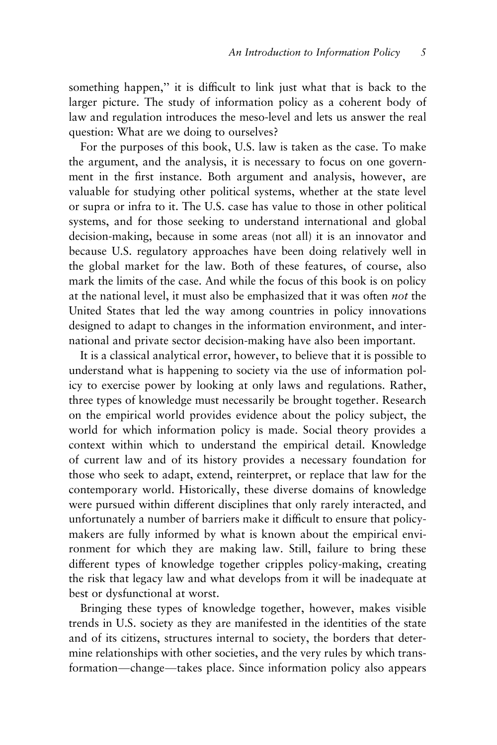something happen," it is difficult to link just what that is back to the larger picture. The study of information policy as a coherent body of law and regulation introduces the meso-level and lets us answer the real question: What are we doing to ourselves?

For the purposes of this book, U.S. law is taken as the case. To make the argument, and the analysis, it is necessary to focus on one government in the first instance. Both argument and analysis, however, are valuable for studying other political systems, whether at the state level or supra or infra to it. The U.S. case has value to those in other political systems, and for those seeking to understand international and global decision-making, because in some areas (not all) it is an innovator and because U.S. regulatory approaches have been doing relatively well in the global market for the law. Both of these features, of course, also mark the limits of the case. And while the focus of this book is on policy at the national level, it must also be emphasized that it was often not the United States that led the way among countries in policy innovations designed to adapt to changes in the information environment, and international and private sector decision-making have also been important.

It is a classical analytical error, however, to believe that it is possible to understand what is happening to society via the use of information policy to exercise power by looking at only laws and regulations. Rather, three types of knowledge must necessarily be brought together. Research on the empirical world provides evidence about the policy subject, the world for which information policy is made. Social theory provides a context within which to understand the empirical detail. Knowledge of current law and of its history provides a necessary foundation for those who seek to adapt, extend, reinterpret, or replace that law for the contemporary world. Historically, these diverse domains of knowledge were pursued within different disciplines that only rarely interacted, and unfortunately a number of barriers make it difficult to ensure that policymakers are fully informed by what is known about the empirical environment for which they are making law. Still, failure to bring these different types of knowledge together cripples policy-making, creating the risk that legacy law and what develops from it will be inadequate at best or dysfunctional at worst.

Bringing these types of knowledge together, however, makes visible trends in U.S. society as they are manifested in the identities of the state and of its citizens, structures internal to society, the borders that determine relationships with other societies, and the very rules by which transformation—change—takes place. Since information policy also appears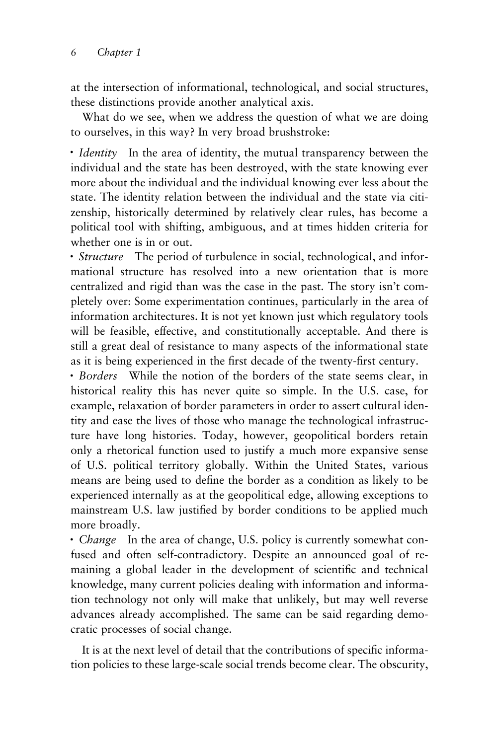at the intersection of informational, technological, and social structures, these distinctions provide another analytical axis.

What do we see, when we address the question of what we are doing to ourselves, in this way? In very broad brushstroke:

• Identity In the area of identity, the mutual transparency between the individual and the state has been destroyed, with the state knowing ever more about the individual and the individual knowing ever less about the state. The identity relation between the individual and the state via citizenship, historically determined by relatively clear rules, has become a political tool with shifting, ambiguous, and at times hidden criteria for whether one is in or out.

• *Structure* The period of turbulence in social, technological, and informational structure has resolved into a new orientation that is more centralized and rigid than was the case in the past. The story isn't completely over: Some experimentation continues, particularly in the area of information architectures. It is not yet known just which regulatory tools will be feasible, effective, and constitutionally acceptable. And there is still a great deal of resistance to many aspects of the informational state as it is being experienced in the first decade of the twenty-first century.

· Borders While the notion of the borders of the state seems clear, in historical reality this has never quite so simple. In the U.S. case, for example, relaxation of border parameters in order to assert cultural identity and ease the lives of those who manage the technological infrastructure have long histories. Today, however, geopolitical borders retain only a rhetorical function used to justify a much more expansive sense of U.S. political territory globally. Within the United States, various means are being used to define the border as a condition as likely to be experienced internally as at the geopolitical edge, allowing exceptions to mainstream U.S. law justified by border conditions to be applied much more broadly.

• *Change* In the area of change, U.S. policy is currently somewhat confused and often self-contradictory. Despite an announced goal of remaining a global leader in the development of scientific and technical knowledge, many current policies dealing with information and information technology not only will make that unlikely, but may well reverse advances already accomplished. The same can be said regarding democratic processes of social change.

It is at the next level of detail that the contributions of specific information policies to these large-scale social trends become clear. The obscurity,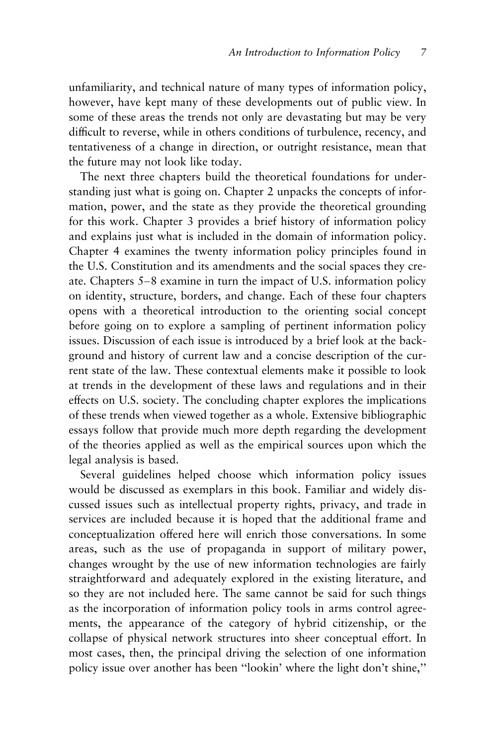unfamiliarity, and technical nature of many types of information policy, however, have kept many of these developments out of public view. In some of these areas the trends not only are devastating but may be very difficult to reverse, while in others conditions of turbulence, recency, and tentativeness of a change in direction, or outright resistance, mean that the future may not look like today.

The next three chapters build the theoretical foundations for understanding just what is going on. Chapter 2 unpacks the concepts of information, power, and the state as they provide the theoretical grounding for this work. Chapter 3 provides a brief history of information policy and explains just what is included in the domain of information policy. Chapter 4 examines the twenty information policy principles found in the U.S. Constitution and its amendments and the social spaces they create. Chapters 5–8 examine in turn the impact of U.S. information policy on identity, structure, borders, and change. Each of these four chapters opens with a theoretical introduction to the orienting social concept before going on to explore a sampling of pertinent information policy issues. Discussion of each issue is introduced by a brief look at the background and history of current law and a concise description of the current state of the law. These contextual elements make it possible to look at trends in the development of these laws and regulations and in their effects on U.S. society. The concluding chapter explores the implications of these trends when viewed together as a whole. Extensive bibliographic essays follow that provide much more depth regarding the development of the theories applied as well as the empirical sources upon which the legal analysis is based.

Several guidelines helped choose which information policy issues would be discussed as exemplars in this book. Familiar and widely discussed issues such as intellectual property rights, privacy, and trade in services are included because it is hoped that the additional frame and conceptualization offered here will enrich those conversations. In some areas, such as the use of propaganda in support of military power, changes wrought by the use of new information technologies are fairly straightforward and adequately explored in the existing literature, and so they are not included here. The same cannot be said for such things as the incorporation of information policy tools in arms control agreements, the appearance of the category of hybrid citizenship, or the collapse of physical network structures into sheer conceptual effort. In most cases, then, the principal driving the selection of one information policy issue over another has been ''lookin' where the light don't shine,''